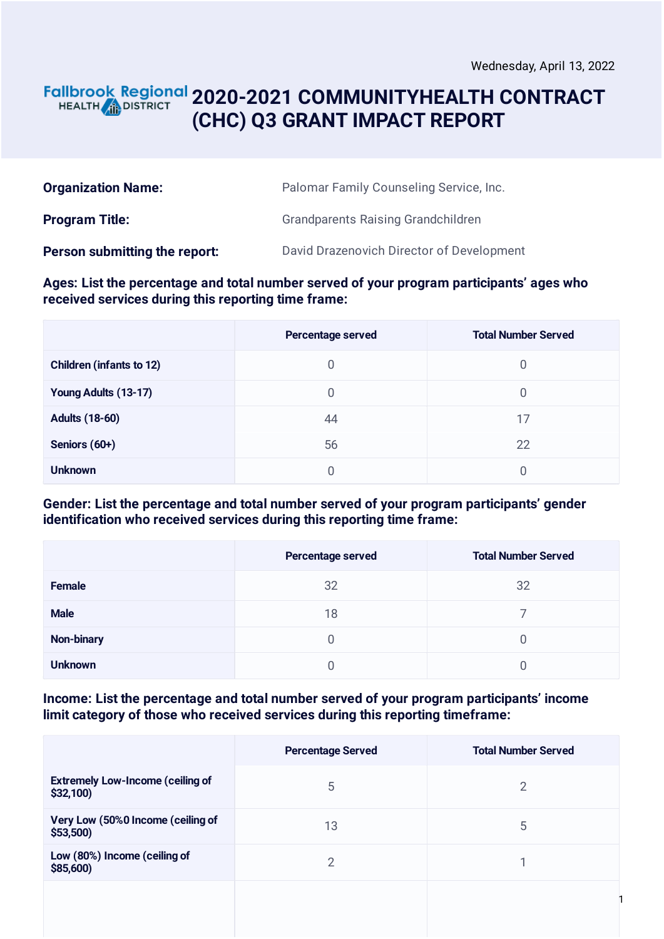1

### **2020-2021 COMMUNITYHEALTH CONTRACT** HEALTH **AND DISTRICT (CHC) Q3 GRANT IMPACT REPORT**

| <b>Organization Name:</b>     | Palomar Family Counseling Service, Inc.   |  |
|-------------------------------|-------------------------------------------|--|
| <b>Program Title:</b>         | <b>Grandparents Raising Grandchildren</b> |  |
| Person submitting the report: | David Drazenovich Director of Development |  |

#### **Ages: List the percentage and total number served of your program participants' ages who received services during this reporting time frame:**

|                                 | <b>Percentage served</b> | <b>Total Number Served</b> |
|---------------------------------|--------------------------|----------------------------|
| <b>Children (infants to 12)</b> | 0                        | 0                          |
| Young Adults (13-17)            | 0                        | 0                          |
| <b>Adults (18-60)</b>           | 44                       | 17                         |
| Seniors (60+)                   | 56                       | 22                         |
| <b>Unknown</b>                  | 0                        |                            |

#### **Gender: List the percentage and total number served of your program participants' gender identification who received services during this reporting time frame:**

|                   | Percentage served | <b>Total Number Served</b> |
|-------------------|-------------------|----------------------------|
| Female            | 32                | 32                         |
| <b>Male</b>       | 18                |                            |
| <b>Non-binary</b> | 0                 | 0                          |
| <b>Unknown</b>    |                   |                            |

#### **Income: List the percentage and total number served of your program participants' income limit category of those who received services during this reporting timeframe:**

|                                                     | <b>Percentage Served</b> | <b>Total Number Served</b> |
|-----------------------------------------------------|--------------------------|----------------------------|
| <b>Extremely Low-Income (ceiling of</b><br>\$32,100 | 5                        | 2                          |
| Very Low (50%0 Income (ceiling of<br>\$53,500       | 13                       | 5                          |
| Low (80%) Income (ceiling of<br>\$85,600)           | っ                        |                            |
|                                                     |                          |                            |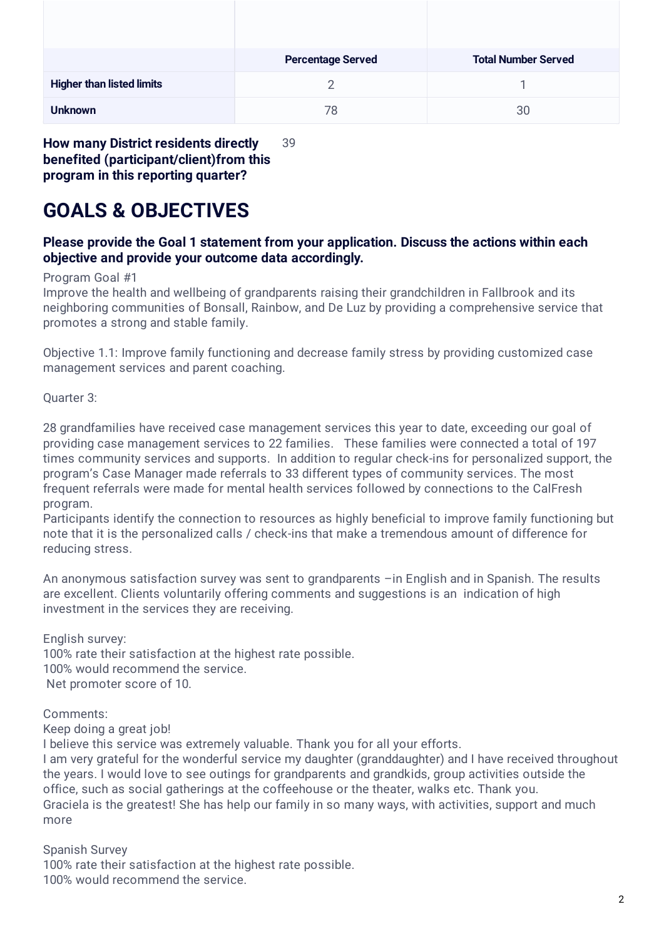|                                  | <b>Percentage Served</b> | <b>Total Number Served</b> |
|----------------------------------|--------------------------|----------------------------|
| <b>Higher than listed limits</b> |                          |                            |
| <b>Unknown</b>                   | 78                       | 30                         |

**How many District residents directly benefited (participant/client)from this program in this reporting quarter?** 39

# **GOALS & OBJECTIVES**

#### **Please provide the Goal 1 statement from your application. Discuss the actions within each objective and provide your outcome data accordingly.**

#### Program Goal #1

Improve the health and wellbeing of grandparents raising their grandchildren in Fallbrook and its neighboring communities of Bonsall, Rainbow, and De Luz by providing a comprehensive service that promotes a strong and stable family.

Objective 1.1: Improve family functioning and decrease family stress by providing customized case management services and parent coaching.

Quarter 3:

28 grandfamilies have received case management services this year to date, exceeding our goal of providing case management services to 22 families. These families were connected a total of 197 times community services and supports. In addition to regular check-ins for personalized support, the program's Case Manager made referrals to 33 different types of community services. The most frequent referrals were made for mental health services followed by connections to the CalFresh program.

Participants identify the connection to resources as highly beneficial to improve family functioning but note that it is the personalized calls / check-ins that make a tremendous amount of difference for reducing stress.

An anonymous satisfaction survey was sent to grandparents –in English and in Spanish. The results are excellent. Clients voluntarily offering comments and suggestions is an indication of high investment in the services they are receiving.

English survey: 100% rate their satisfaction at the highest rate possible. 100% would recommend the service. Net promoter score of 10.

Comments:

Keep doing a great job!

I believe this service was extremely valuable. Thank you for all your efforts.

I am very grateful for the wonderful service my daughter (granddaughter) and I have received throughout the years. I would love to see outings for grandparents and grandkids, group activities outside the office, such as social gatherings at the coffeehouse or the theater, walks etc. Thank you. Graciela is the greatest! She has help our family in so many ways, with activities, support and much more

Spanish Survey 100% rate their satisfaction at the highest rate possible. 100% would recommend the service.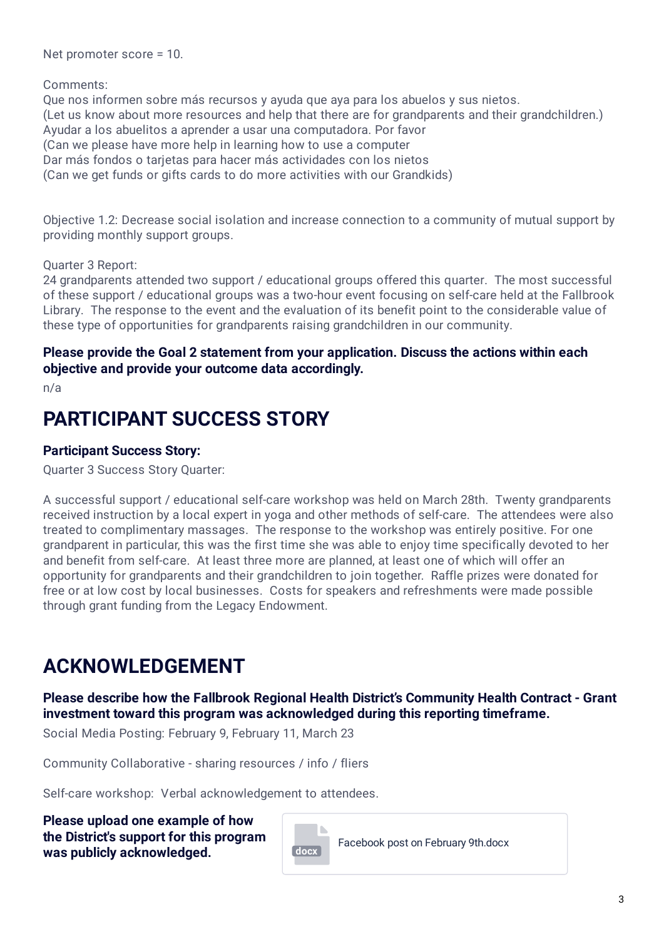Net promoter score = 10.

Comments:

Que nos informen sobre más recursos y ayuda que aya para los abuelos y sus nietos. (Let us know about more resources and help that there are for grandparents and their grandchildren.) Ayudar a los abuelitos a aprender a usar una computadora. Por favor (Can we please have more help in learning how to use a computer Dar más fondos o tarjetas para hacer más actividades con los nietos (Can we get funds or gifts cards to do more activities with our Grandkids)

Objective 1.2: Decrease social isolation and increase connection to a community of mutual support by providing monthly support groups.

Quarter 3 Report:

24 grandparents attended two support / educational groups offered this quarter. The most successful of these support / educational groups was a two-hour event focusing on self-care held at the Fallbrook Library. The response to the event and the evaluation of its benefit point to the considerable value of these type of opportunities for grandparents raising grandchildren in our community.

#### **Please provide the Goal 2 statement from your application. Discuss the actions within each objective and provide your outcome data accordingly.**

n/a

## **PARTICIPANT SUCCESS STORY**

### **Participant Success Story:**

Quarter 3 Success Story Quarter:

A successful support / educational self-care workshop was held on March 28th. Twenty grandparents received instruction by a local expert in yoga and other methods of self-care. The attendees were also treated to complimentary massages. The response to the workshop was entirely positive. For one grandparent in particular, this was the first time she was able to enjoy time specifically devoted to her and benefit from self-care. At least three more are planned, at least one of which will offer an opportunity for grandparents and their grandchildren to join together. Raffle prizes were donated for free or at low cost by local businesses. Costs for speakers and refreshments were made possible through grant funding from the Legacy Endowment.

## **ACKNOWLEDGEMENT**

### **Please describe how the Fallbrook Regional Health District's Community Health Contract - Grant investment toward this program was acknowledged during this reporting timeframe.**

Social Media Posting: February 9, February 11, March 23

Community Collaborative - sharing resources / info / fliers

Self-care workshop: Verbal acknowledgement to attendees.

**Please upload one example of how the District's support for this program was publicly acknowledged. and the set of the set of the set of the set of the set of the set of the set of the set of the set of the set of the set of the set of the set of the set of the set of the set of the set of t**